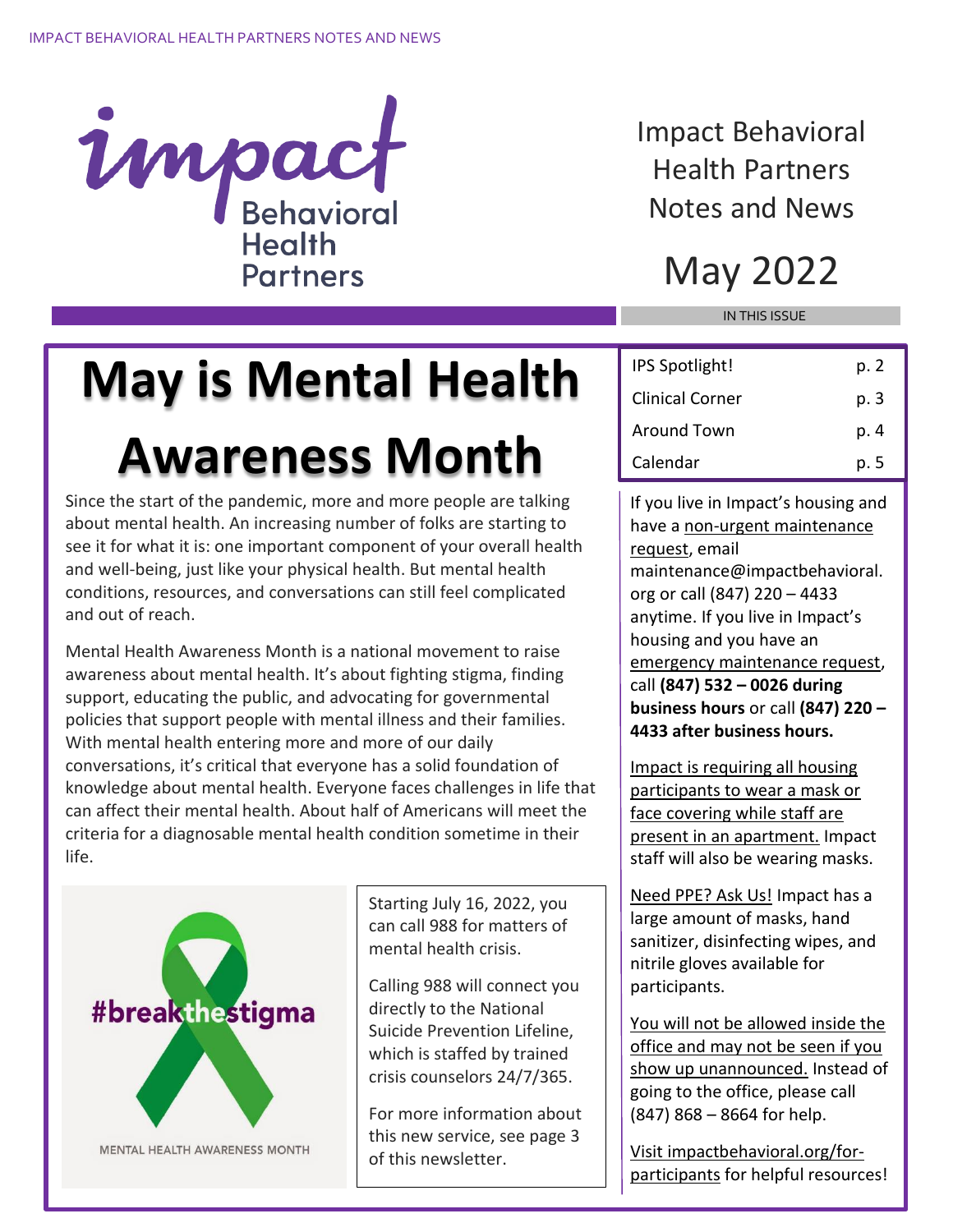

Impact Behavioral Health Partners Notes and News

### May 2022

IN THIS ISSUE

## **May is Mental Health Awareness Month**

Since the start of the pandemic, more and more people are talking about mental health. An increasing number of folks are starting to see it for what it is: one important component of your overall health and well-being, just like your physical health. But mental health conditions, resources, and conversations can still feel complicated and out of reach.

Mental Health Awareness Month is a national movement to raise awareness about mental health. It's about fighting stigma, finding support, educating the public, and advocating for governmental policies that support people with mental illness and their families. With mental health entering more and more of our daily conversations, it's critical that everyone has a solid foundation of knowledge about mental health. Everyone faces challenges in life that can affect their mental health. About half of Americans will meet the criteria for a diagnosable mental health condition sometime in their life.



MENTAL HEALTH AWARENESS MONTH

Starting July 16, 2022, you can call 988 for matters of mental health crisis.

Calling 988 will connect you directly to the National Suicide Prevention Lifeline, which is staffed by trained crisis counselors 24/7/365.

For more information about this new service, see page 3 of this newsletter.

| IPS Spotlight!  | p. 2 |
|-----------------|------|
| Clinical Corner | p. 3 |
| Around Town     | p. 4 |
| Calendar        | p. 5 |

If you live in Impact's housing and have a non-urgent maintenance request, email maintenance@impactbehavioral. org or call (847) 220 – 4433 anytime. If you live in Impact's housing and you have an emergency maintenance request, call **(847) 532 – 0026 during business hours** or call **(847) 220 – 4433 after business hours.**

Impact is requiring all housing participants to wear a mask or face covering while staff are present in an apartment. Impact staff will also be wearing masks.

Need PPE? Ask Us! Impact has a large amount of masks, hand sanitizer, disinfecting wipes, and nitrile gloves available for participants.

You will not be allowed inside the office and may not be seen if you show up unannounced. Instead of going to the office, please call (847) 868 – 8664 for help.

Visit impactbehavioral.org/forparticipants for helpful resources!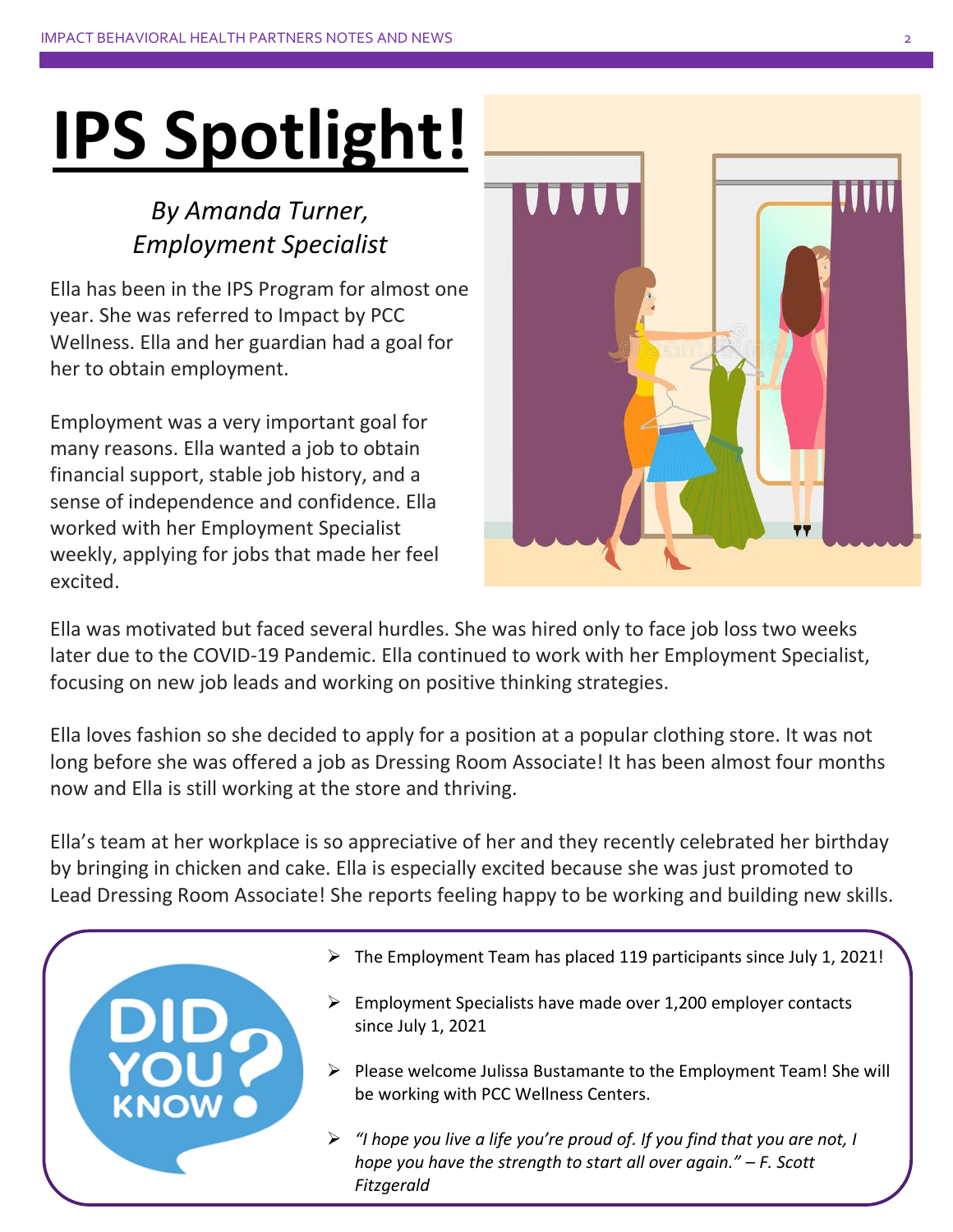# **IPS Spotlight!**

#### *By Amanda Turner, Employment Specialist*

Ella has been in the IPS Program for almost one year. She was referred to Impact by PCC Wellness. Ella and her guardian had a goal for her to obtain employment.

Employment was a very important goal for many reasons. Ella wanted a job to obtain financial support, stable job history, and a sense of independence and confidence. Ella worked with her Employment Specialist weekly, applying for jobs that made her feel excited.



Ella was motivated but faced several hurdles. She was hired only to face job loss two weeks later due to the COVID-19 Pandemic. Ella continued to work with her Employment Specialist, focusing on new job leads and working on positive thinking strategies.

Ella loves fashion so she decided to apply for a position at a popular clothing store. It was not long before she was offered a job as Dressing Room Associate! It has been almost four months now and Ella is still working at the store and thriving.

Ella's team at her workplace is so appreciative of her and they recently celebrated her birthday by bringing in chicken and cake. Ella is especially excited because she was just promoted to Lead Dressing Room Associate! She reports feeling happy to be working and building new skills.

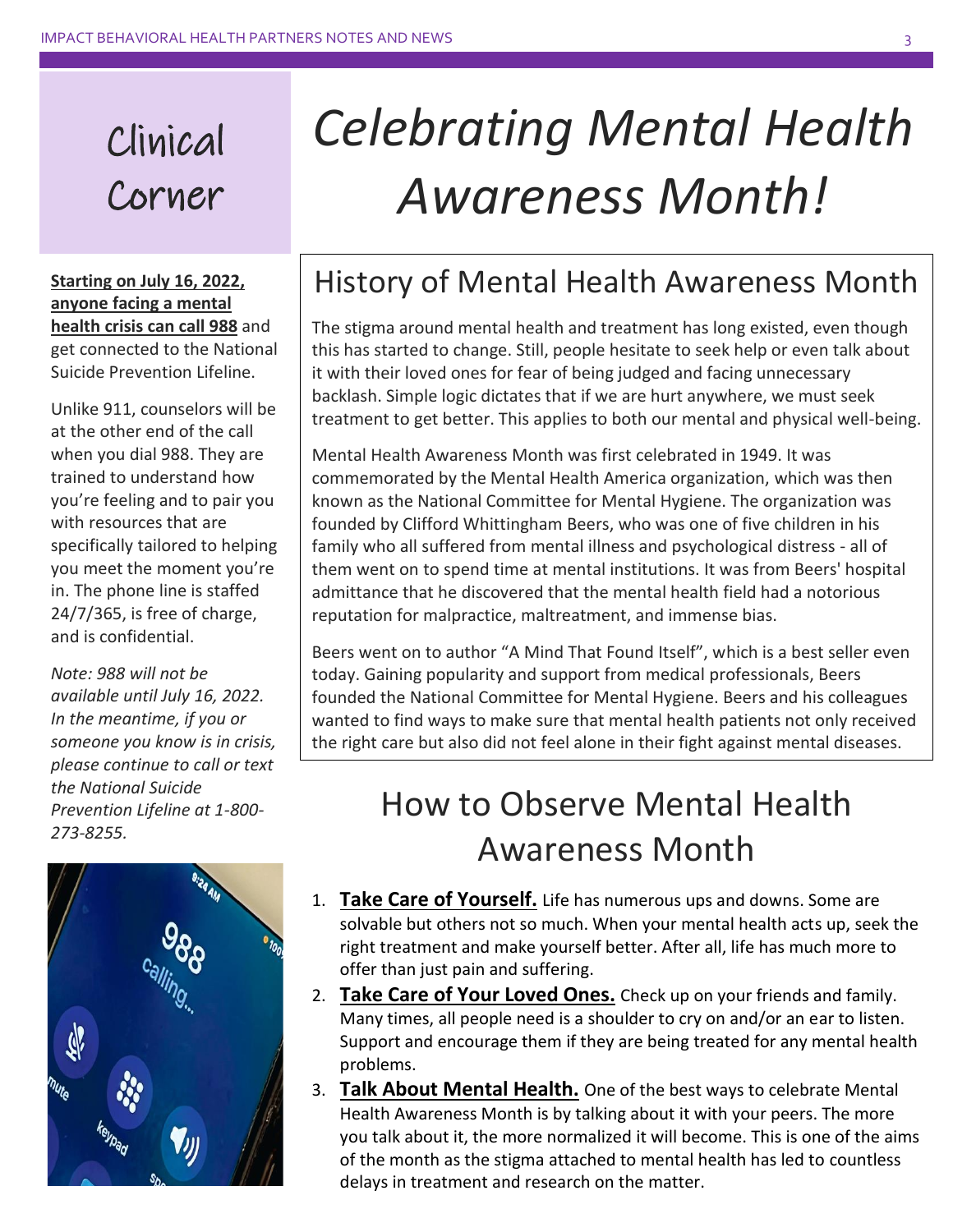### Clinical Corner

**Starting on July 16, 2022, anyone facing a mental health crisis can call 988** and get connected to the National Suicide Prevention Lifeline.

Unlike 911, counselors will be at the other end of the call when you dial 988. They are trained to understand how you're feeling and to pair you with resources that are specifically tailored to helping you meet the moment you're in. The phone line is staffed 24/7/365, is free of charge, and is confidential.

*Note: 988 will not be available until July 16, 2022. In the meantime, if you or someone you know is in crisis, please continue to call or text the National Suicide Prevention Lifeline at 1-800- 273-8255.*



## *Celebrating Mental Health Awareness Month!*

#### History of Mental Health Awareness Month

The stigma around mental health and treatment has long existed, even though this has started to change. Still, people hesitate to seek help or even talk about it with their loved ones for fear of being judged and facing unnecessary backlash. Simple logic dictates that if we are hurt anywhere, we must seek treatment to get better. This applies to both our mental and physical well-being.

Mental Health Awareness Month was first celebrated in 1949. It was commemorated by the Mental Health America organization, which was then known as the National Committee for Mental Hygiene. The organization was founded by Clifford Whittingham Beers, who was one of five children in his family who all suffered from mental illness and psychological distress - all of them went on to spend time at mental institutions. It was from Beers' hospital admittance that he discovered that the mental health field had a notorious reputation for malpractice, maltreatment, and immense bias.

Beers went on to author "A Mind That Found Itself", which is a best seller even today. Gaining popularity and support from medical professionals, Beers founded the National Committee for Mental Hygiene. Beers and his colleagues wanted to find ways to make sure that mental health patients not only received the right care but also did not feel alone in their fight against mental diseases.

#### How to Observe Mental Health Awareness Month

- 1. **Take Care of Yourself.** Life has numerous ups and downs. Some are solvable but others not so much. When your mental health acts up, seek the right treatment and make yourself better. After all, life has much more to offer than just pain and suffering.
- 2. **Take Care of Your Loved Ones.** Check up on your friends and family. Many times, all people need is a shoulder to cry on and/or an ear to listen. Support and encourage them if they are being treated for any mental health problems.
- 3. **Talk About Mental Health.** One of the best ways to celebrate Mental Health Awareness Month is by talking about it with your peers. The more you talk about it, the more normalized it will become. This is one of the aims of the month as the stigma attached to mental health has led to countless delays in treatment and research on the matter.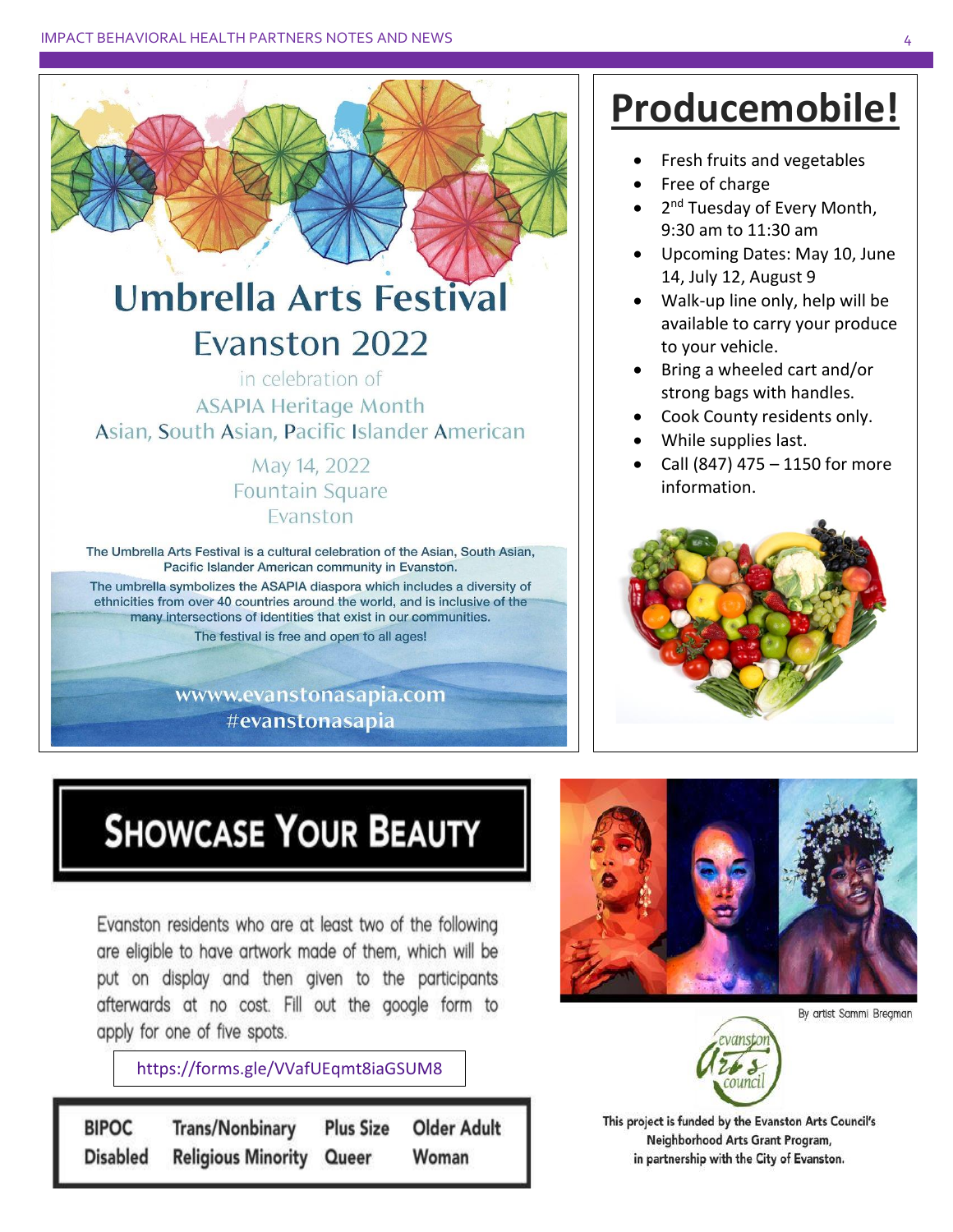

The umbrella symbolizes the ASAPIA diaspora which includes a diversity of ethnicities from over 40 countries around the world, and is inclusive of the many intersections of identities that exist in our communities. The festival is free and open to all ages!

> www.evanstonasapia.com #evanstonasapia

### **Producemobile!**

- Fresh fruits and vegetables
- Free of charge
- 2<sup>nd</sup> Tuesday of Every Month, 9:30 am to 11:30 am
- Upcoming Dates: May 10, June 14, July 12, August 9
- Walk-up line only, help will be available to carry your produce to your vehicle.
- Bring a wheeled cart and/or strong bags with handles.
- Cook County residents only.
- While supplies last.
- Call (847) 475 1150 for more information.



## **SHOWCASE YOUR BEAUTY**

Evanston residents who are at least two of the following are eligible to have artwork made of them, which will be put on display and then given to the participants afterwards at no cost. Fill out the google form to apply for one of five spots.

https://forms.gle/VVafUEqmt8iaGSUM8

**BIPOC Trans/Nonbinary Older Adult Plus Size Disabled Religious Minority** Queer Woman



By artist Sammi Bregman



This project is funded by the Evanston Arts Council's Neighborhood Arts Grant Program, in partnership with the City of Evanston.